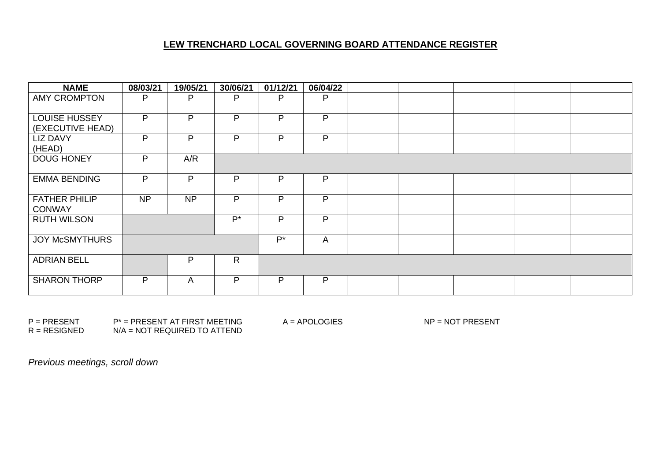## **LEW TRENCHARD LOCAL GOVERNING BOARD ATTENDANCE REGISTER**

| <b>NAME</b>                           | 08/03/21 | 19/05/21  | 30/06/21           | 01/12/21 | 06/04/22 |  |  |  |
|---------------------------------------|----------|-----------|--------------------|----------|----------|--|--|--|
| <b>AMY CROMPTON</b>                   | P        | P         | P                  | P        | P        |  |  |  |
| LOUISE HUSSEY<br>(EXECUTIVE HEAD)     | P        | P         | P                  | P        | P        |  |  |  |
| <b>LIZ DAVY</b><br>(HEAD)             | P        | P         | P                  | P        | P        |  |  |  |
| <b>DOUG HONEY</b>                     | P        | A/R       |                    |          |          |  |  |  |
| <b>EMMA BENDING</b>                   | P        | P         | P                  | P        | P        |  |  |  |
| <b>FATHER PHILIP</b><br><b>CONWAY</b> | NP       | <b>NP</b> | P                  | P        | P        |  |  |  |
| <b>RUTH WILSON</b>                    |          |           | $\mathsf{P}^\star$ | P        | P        |  |  |  |
| <b>JOY McSMYTHURS</b>                 |          |           |                    | $P^*$    | A        |  |  |  |
| <b>ADRIAN BELL</b>                    |          | P         | $\mathsf{R}$       |          |          |  |  |  |
| <b>SHARON THORP</b>                   | P        | A         | P                  | P        | P        |  |  |  |

P = PRESENT P\* = PRESENT AT FIRST MEETING A = APOLOGIES NP = NOT PRESENT<br>R = RESIGNED N/A = NOT REQUIRED TO ATTEND  $N/A = NOT REQUIRED TO ATTEND$ 

*Previous meetings, scroll down*